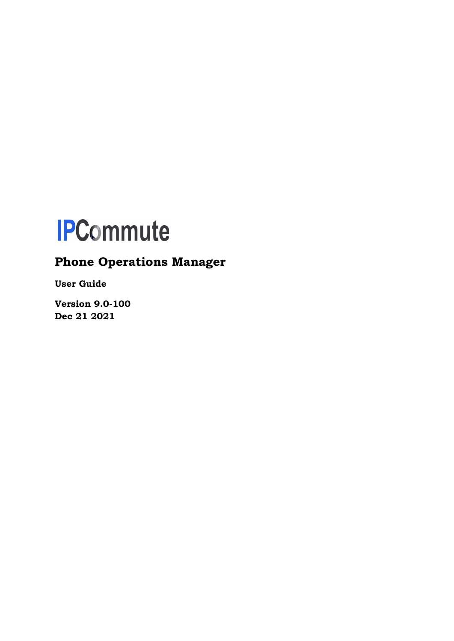# **IPCommute**

# **Phone Operations Manager**

**User Guide**

**Version 9.0-100 Dec 21 2021**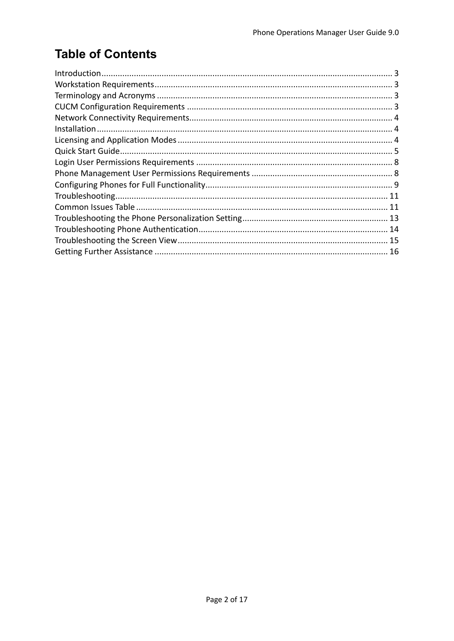# **Table of Contents**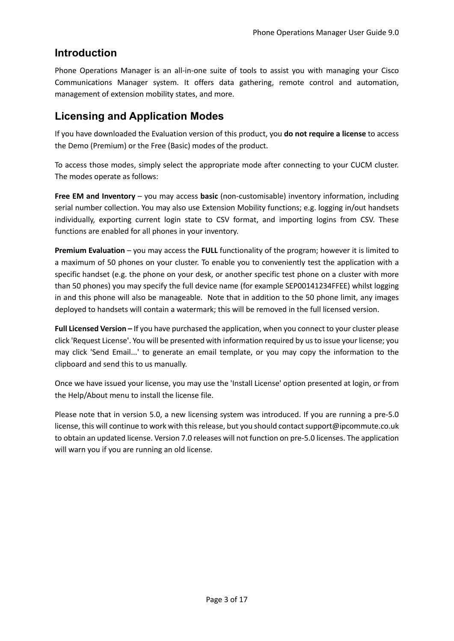### **Introduction**

Phone Operations Manager is an all-in-one suite of tools to assist you with managing your Cisco Communications Manager system. It offers data gathering, remote control and automation, management of extension mobility states, and more.

## **Licensing and Application Modes**

If you have downloaded the Evaluation version of this product, you **do not require a license** to access the Demo (Premium) or the Free (Basic) modes of the product.

To access those modes, simply select the appropriate mode after connecting to your CUCM cluster. The modes operate as follows:

**Free EM and Inventory** – you may access **basic** (non-customisable) inventory information, including serial number collection. You may also use Extension Mobility functions; e.g. logging in/out handsets individually, exporting current login state to CSV format, and importing logins from CSV. These functions are enabled for all phones in your inventory.

**Premium Evaluation** – you may access the **FULL** functionality of the program; however it is limited to a maximum of 50 phones on your cluster. To enable you to conveniently test the application with a specific handset (e.g. the phone on your desk, or another specific test phone on a cluster with more than 50 phones) you may specify the full device name (for example SEP00141234FFEE) whilst logging in and this phone will also be manageable. Note that in addition to the 50 phone limit, any images deployed to handsets will contain a watermark; this will be removed in the full licensed version.

**Full Licensed Version –** If you have purchased the application, when you connect to your cluster please click 'Request License'. You will be presented with information required by us to issue your license; you may click 'Send Email...' to generate an email template, or you may copy the information to the clipboard and send this to us manually.

Once we have issued your license, you may use the 'Install License' option presented at login, or from the Help/About menu to install the license file.

Please note that in version 5.0, a new licensing system was introduced. If you are running a pre-5.0 license, this will continue to work with this release, but you should contact support@ipcommute.co.uk to obtain an updated license. Version 7.0 releases will not function on pre-5.0 licenses. The application will warn you if you are running an old license.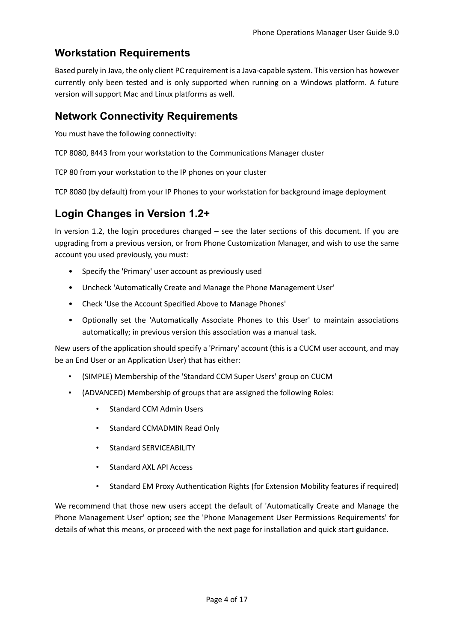## **Workstation Requirements**

Based purely in Java, the only client PC requirement is a Java-capable system. This version has however currently only been tested and is only supported when running on a Windows platform. A future version will support Mac and Linux platforms as well.

## **Network Connectivity Requirements**

You must have the following connectivity:

TCP 8080, 8443 from your workstation to the Communications Manager cluster

TCP 80 from your workstation to the IP phones on your cluster

TCP 8080 (by default) from your IP Phones to your workstation for background image deployment

## **Login Changes in Version 1.2+**

In version 1.2, the login procedures changed – see the later sections of this document. If you are upgrading from a previous version, or from Phone Customization Manager, and wish to use the same account you used previously, you must:

- Specify the 'Primary' user account as previously used
- Uncheck 'Automatically Create and Manage the Phone Management User'
- Check 'Use the Account Specified Above to Manage Phones'
- Optionally set the 'Automatically Associate Phones to this User' to maintain associations automatically; in previous version this association was a manual task.

New users of the application should specify a 'Primary' account (this is a CUCM user account, and may be an End User or an Application User) that has either:

- (SIMPLE) Membership of the 'Standard CCM Super Users' group on CUCM
- (ADVANCED) Membership of groups that are assigned the following Roles:
	- Standard CCM Admin Users
	- Standard CCMADMIN Read Only
	- Standard SERVICEABILITY
	- Standard AXL API Access
	- Standard EM Proxy Authentication Rights (for Extension Mobility features if required)

We recommend that those new users accept the default of 'Automatically Create and Manage the Phone Management User' option; see the 'Phone Management User Permissions Requirements' for details of what this means, or proceed with the next page for installation and quick start guidance.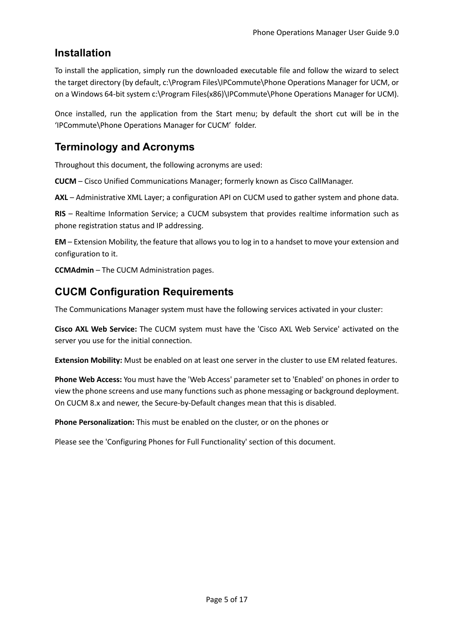## **Installation**

To install the application, simply run the downloaded executable file and follow the wizard to select the target directory (by default, c:\Program Files\IPCommute\Phone Operations Manager for UCM, or on a Windows 64-bit system c:\Program Files(x86)\IPCommute\Phone Operations Manager for UCM).

Once installed, run the application from the Start menu; by default the short cut will be in the 'IPCommute\Phone Operations Manager for CUCM' folder.

## **Terminology and Acronyms**

Throughout this document, the following acronyms are used:

**CUCM** – Cisco Unified Communications Manager; formerly known as Cisco CallManager.

**AXL** – Administrative XML Layer; a configuration API on CUCM used to gather system and phone data.

**RIS** – Realtime Information Service; a CUCM subsystem that provides realtime information such as phone registration status and IP addressing.

**EM** – Extension Mobility, the feature that allows you to log in to a handset to move your extension and configuration to it.

**CCMAdmin** – The CUCM Administration pages.

## **CUCM Configuration Requirements**

The Communications Manager system must have the following services activated in your cluster:

**Cisco AXL Web Service:** The CUCM system must have the 'Cisco AXL Web Service' activated on the server you use for the initial connection.

**Extension Mobility:** Must be enabled on at least one server in the cluster to use EM related features.

**Phone Web Access:** You must have the 'Web Access' parameter set to 'Enabled' on phones in order to view the phone screens and use many functions such as phone messaging or background deployment. On CUCM 8.x and newer, the Secure-by-Default changes mean that this is disabled.

**Phone Personalization:** This must be enabled on the cluster, or on the phones or

Please see the 'Configuring Phones for Full Functionality' section of this document.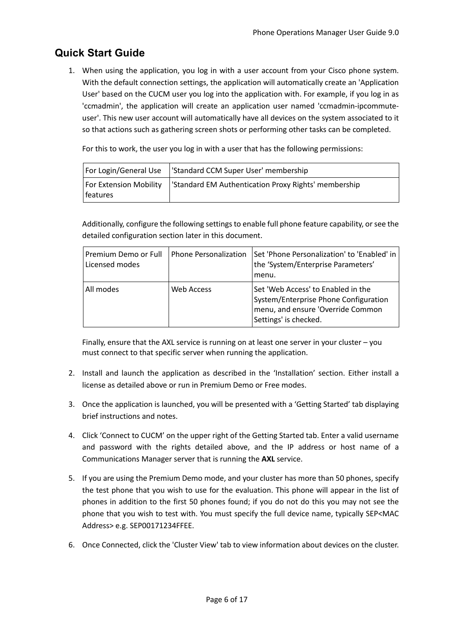## **Quick Start Guide**

1. When using the application, you log in with a user account from your Cisco phone system. With the default connection settings, the application will automatically create an 'Application User' based on the CUCM user you log into the application with. For example, if you log in as 'ccmadmin', the application will create an application user named 'ccmadmin-ipcommuteuser'. This new user account will automatically have all devices on the system associated to it so that actions such as gathering screen shots or performing other tasks can be completed.

For this to work, the user you log in with a user that has the following permissions:

|                                    | For Login/General Use   'Standard CCM Super User' membership |
|------------------------------------|--------------------------------------------------------------|
| For Extension Mobility<br>features | Standard EM Authentication Proxy Rights' membership          |

Additionally, configure the following settings to enable full phone feature capability, or see the detailed configuration section later in this document.

| Premium Demo or Full<br>Licensed modes | <b>Phone Personalization</b> | Set 'Phone Personalization' to 'Enabled' in<br>the 'System/Enterprise Parameters'<br>menu.                                                |
|----------------------------------------|------------------------------|-------------------------------------------------------------------------------------------------------------------------------------------|
| All modes                              | Web Access                   | Set 'Web Access' to Enabled in the<br>System/Enterprise Phone Configuration<br>menu, and ensure 'Override Common<br>Settings' is checked. |

Finally, ensure that the AXL service is running on at least one server in your cluster – you must connect to that specific server when running the application.

- 2. Install and launch the application as described in the 'Installation' section. Either install a license as detailed above or run in Premium Demo or Free modes.
- 3. Once the application is launched, you will be presented with a 'Getting Started' tab displaying brief instructions and notes.
- 4. Click 'Connect to CUCM' on the upper right of the Getting Started tab. Enter a valid username and password with the rights detailed above, and the IP address or host name of a Communications Manager server that is running the **AXL** service.
- 5. If you are using the Premium Demo mode, and your cluster has more than 50 phones, specify the test phone that you wish to use for the evaluation. This phone will appear in the list of phones in addition to the first 50 phones found; if you do not do this you may not see the phone that you wish to test with. You must specify the full device name, typically SEP<MAC Address> e.g. SEP00171234FFEE.
- 6. Once Connected, click the 'Cluster View' tab to view information about devices on the cluster.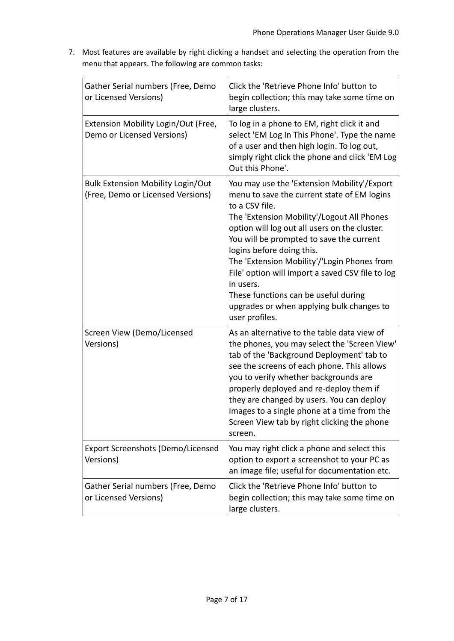7. Most features are available by right clicking a handset and selecting the operation from the menu that appears. The following are common tasks:

| Gather Serial numbers (Free, Demo<br>or Licensed Versions)                    | Click the 'Retrieve Phone Info' button to<br>begin collection; this may take some time on<br>large clusters.                                                                                                                                                                                                                                                                                                                                                                                                |
|-------------------------------------------------------------------------------|-------------------------------------------------------------------------------------------------------------------------------------------------------------------------------------------------------------------------------------------------------------------------------------------------------------------------------------------------------------------------------------------------------------------------------------------------------------------------------------------------------------|
| Extension Mobility Login/Out (Free,<br>Demo or Licensed Versions)             | To log in a phone to EM, right click it and<br>select 'EM Log In This Phone'. Type the name<br>of a user and then high login. To log out,<br>simply right click the phone and click 'EM Log<br>Out this Phone'.                                                                                                                                                                                                                                                                                             |
| <b>Bulk Extension Mobility Login/Out</b><br>(Free, Demo or Licensed Versions) | You may use the 'Extension Mobility'/Export<br>menu to save the current state of EM logins<br>to a CSV file.<br>The 'Extension Mobility'/Logout All Phones<br>option will log out all users on the cluster.<br>You will be prompted to save the current<br>logins before doing this.<br>The 'Extension Mobility'/'Login Phones from<br>File' option will import a saved CSV file to log<br>in users.<br>These functions can be useful during<br>upgrades or when applying bulk changes to<br>user profiles. |
| Screen View (Demo/Licensed<br>Versions)                                       | As an alternative to the table data view of<br>the phones, you may select the 'Screen View'<br>tab of the 'Background Deployment' tab to<br>see the screens of each phone. This allows<br>you to verify whether backgrounds are<br>properly deployed and re-deploy them if<br>they are changed by users. You can deploy<br>images to a single phone at a time from the<br>Screen View tab by right clicking the phone<br>screen.                                                                            |
| <b>Export Screenshots (Demo/Licensed</b><br>Versions)                         | You may right click a phone and select this<br>option to export a screenshot to your PC as<br>an image file; useful for documentation etc.                                                                                                                                                                                                                                                                                                                                                                  |
| Gather Serial numbers (Free, Demo<br>or Licensed Versions)                    | Click the 'Retrieve Phone Info' button to<br>begin collection; this may take some time on<br>large clusters.                                                                                                                                                                                                                                                                                                                                                                                                |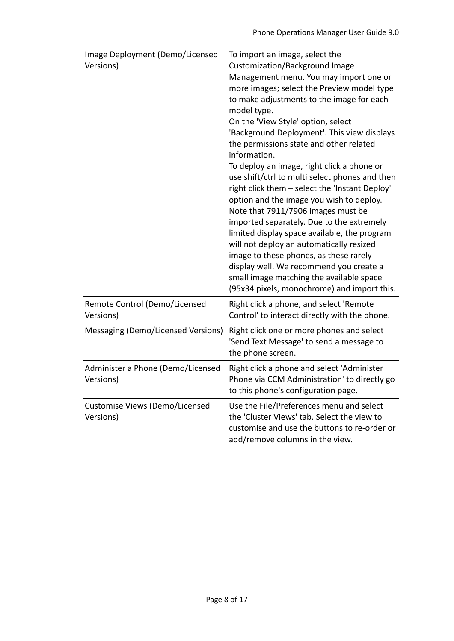| Image Deployment (Demo/Licensed<br>Versions)   | To import an image, select the<br>Customization/Background Image<br>Management menu. You may import one or<br>more images; select the Preview model type<br>to make adjustments to the image for each<br>model type.<br>On the 'View Style' option, select<br>'Background Deployment'. This view displays<br>the permissions state and other related<br>information.<br>To deploy an image, right click a phone or<br>use shift/ctrl to multi select phones and then<br>right click them - select the 'Instant Deploy'<br>option and the image you wish to deploy.<br>Note that 7911/7906 images must be<br>imported separately. Due to the extremely<br>limited display space available, the program<br>will not deploy an automatically resized<br>image to these phones, as these rarely<br>display well. We recommend you create a<br>small image matching the available space<br>(95x34 pixels, monochrome) and import this. |
|------------------------------------------------|-----------------------------------------------------------------------------------------------------------------------------------------------------------------------------------------------------------------------------------------------------------------------------------------------------------------------------------------------------------------------------------------------------------------------------------------------------------------------------------------------------------------------------------------------------------------------------------------------------------------------------------------------------------------------------------------------------------------------------------------------------------------------------------------------------------------------------------------------------------------------------------------------------------------------------------|
| Remote Control (Demo/Licensed<br>Versions)     | Right click a phone, and select 'Remote<br>Control' to interact directly with the phone.                                                                                                                                                                                                                                                                                                                                                                                                                                                                                                                                                                                                                                                                                                                                                                                                                                          |
| Messaging (Demo/Licensed Versions)             | Right click one or more phones and select<br>'Send Text Message' to send a message to<br>the phone screen.                                                                                                                                                                                                                                                                                                                                                                                                                                                                                                                                                                                                                                                                                                                                                                                                                        |
| Administer a Phone (Demo/Licensed<br>Versions) | Right click a phone and select 'Administer<br>Phone via CCM Administration' to directly go<br>to this phone's configuration page.                                                                                                                                                                                                                                                                                                                                                                                                                                                                                                                                                                                                                                                                                                                                                                                                 |
| Customise Views (Demo/Licensed<br>Versions)    | Use the File/Preferences menu and select<br>the 'Cluster Views' tab. Select the view to<br>customise and use the buttons to re-order or<br>add/remove columns in the view.                                                                                                                                                                                                                                                                                                                                                                                                                                                                                                                                                                                                                                                                                                                                                        |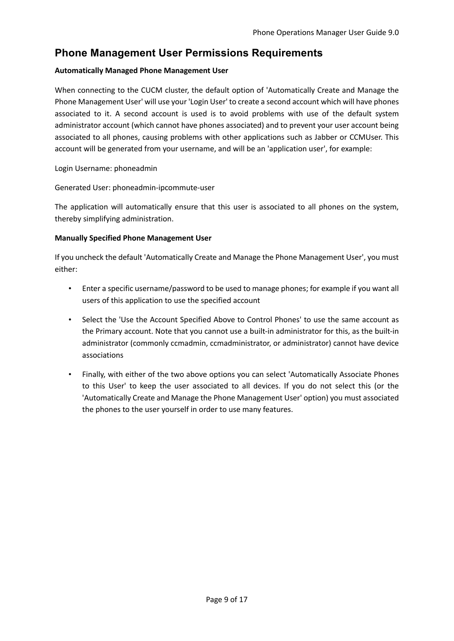## **Phone Management User Permissions Requirements**

#### **Automatically Managed Phone Management User**

When connecting to the CUCM cluster, the default option of 'Automatically Create and Manage the Phone Management User' will use your 'Login User' to create a second account which will have phones associated to it. A second account is used is to avoid problems with use of the default system administrator account (which cannot have phones associated) and to prevent your user account being associated to all phones, causing problems with other applications such as Jabber or CCMUser. This account will be generated from your username, and will be an 'application user', for example:

#### Login Username: phoneadmin

Generated User: phoneadmin-ipcommute-user

The application will automatically ensure that this user is associated to all phones on the system, thereby simplifying administration.

#### **Manually Specified Phone Management User**

If you uncheck the default 'Automatically Create and Manage the Phone Management User', you must either:

- Enter a specific username/password to be used to manage phones; for example if you want all users of this application to use the specified account
- Select the 'Use the Account Specified Above to Control Phones' to use the same account as the Primary account. Note that you cannot use a built-in administrator for this, as the built-in administrator (commonly ccmadmin, ccmadministrator, or administrator) cannot have device associations
- Finally, with either of the two above options you can select 'Automatically Associate Phones to this User' to keep the user associated to all devices. If you do not select this (or the 'Automatically Create and Manage the Phone Management User' option) you must associated the phones to the user yourself in order to use many features.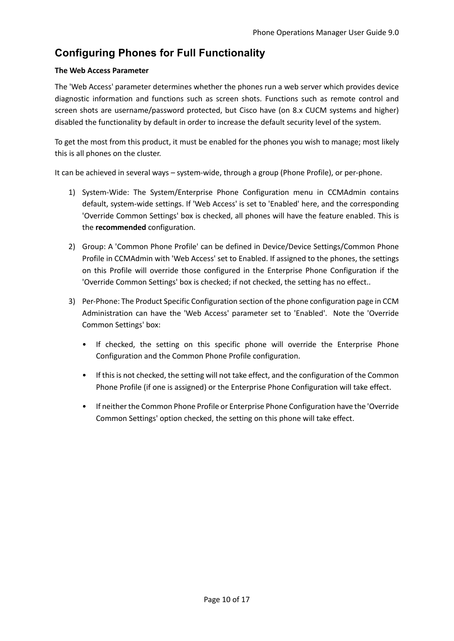## **Configuring Phones for Full Functionality**

#### **The Web Access Parameter**

The 'Web Access' parameter determines whether the phones run a web server which provides device diagnostic information and functions such as screen shots. Functions such as remote control and screen shots are username/password protected, but Cisco have (on 8.x CUCM systems and higher) disabled the functionality by default in order to increase the default security level of the system.

To get the most from this product, it must be enabled for the phones you wish to manage; most likely this is all phones on the cluster.

It can be achieved in several ways – system-wide, through a group (Phone Profile), or per-phone.

- 1) System-Wide: The System/Enterprise Phone Configuration menu in CCMAdmin contains default, system-wide settings. If 'Web Access' is set to 'Enabled' here, and the corresponding 'Override Common Settings' box is checked, all phones will have the feature enabled. This is the **recommended** configuration.
- 2) Group: A 'Common Phone Profile' can be defined in Device/Device Settings/Common Phone Profile in CCMAdmin with 'Web Access' set to Enabled. If assigned to the phones, the settings on this Profile will override those configured in the Enterprise Phone Configuration if the 'Override Common Settings' box is checked; if not checked, the setting has no effect..
- 3) Per-Phone: The Product Specific Configuration section of the phone configuration page in CCM Administration can have the 'Web Access' parameter set to 'Enabled'. Note the 'Override Common Settings' box:
	- If checked, the setting on this specific phone will override the Enterprise Phone Configuration and the Common Phone Profile configuration.
	- If this is not checked, the setting will not take effect, and the configuration of the Common Phone Profile (if one is assigned) or the Enterprise Phone Configuration will take effect.
	- If neither the Common Phone Profile or Enterprise Phone Configuration have the 'Override Common Settings' option checked, the setting on this phone will take effect.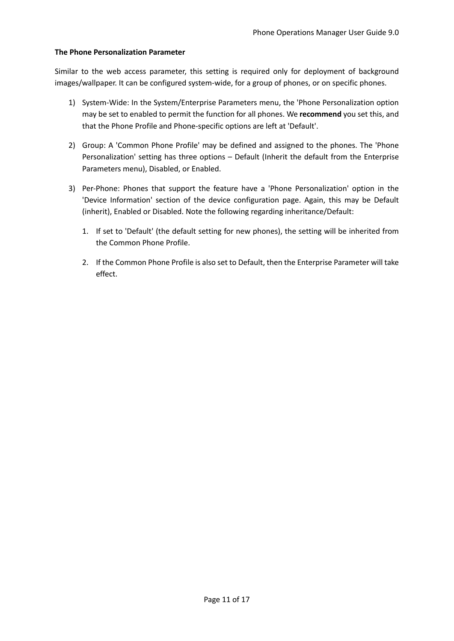#### **The Phone Personalization Parameter**

Similar to the web access parameter, this setting is required only for deployment of background images/wallpaper. It can be configured system-wide, for a group of phones, or on specific phones.

- 1) System-Wide: In the System/Enterprise Parameters menu, the 'Phone Personalization option may be set to enabled to permit the function for all phones. We **recommend** you set this, and that the Phone Profile and Phone-specific options are left at 'Default'.
- 2) Group: A 'Common Phone Profile' may be defined and assigned to the phones. The 'Phone Personalization' setting has three options – Default (Inherit the default from the Enterprise Parameters menu), Disabled, or Enabled.
- 3) Per-Phone: Phones that support the feature have a 'Phone Personalization' option in the 'Device Information' section of the device configuration page. Again, this may be Default (inherit), Enabled or Disabled. Note the following regarding inheritance/Default:
	- 1. If set to 'Default' (the default setting for new phones), the setting will be inherited from the Common Phone Profile.
	- 2. If the Common Phone Profile is also set to Default, then the Enterprise Parameter will take effect.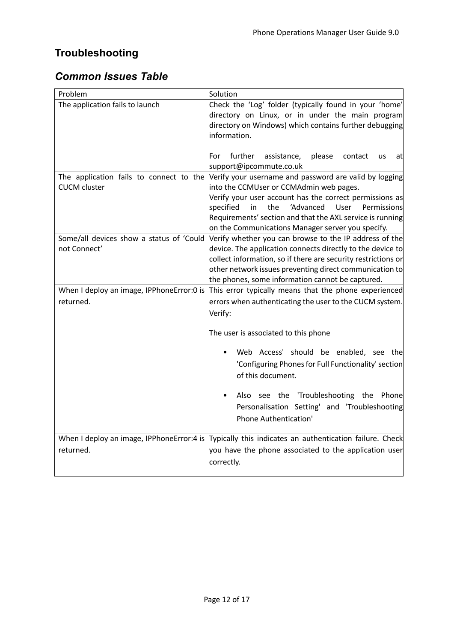## **Troubleshooting**

## *Common Issues Table*

| Problem                                    | Solution                                                                                                                |
|--------------------------------------------|-------------------------------------------------------------------------------------------------------------------------|
| The application fails to launch            | Check the 'Log' folder (typically found in your 'home'<br>directory on Linux, or in under the main program              |
|                                            | directory on Windows) which contains further debugging                                                                  |
|                                            | information.                                                                                                            |
|                                            |                                                                                                                         |
|                                            | For<br>further<br>assistance,<br>please<br>contact<br><b>us</b><br>atl                                                  |
|                                            | support@ipcommute.co.uk                                                                                                 |
| The application fails to connect to the    | Verify your username and password are valid by logging                                                                  |
| <b>CUCM</b> cluster                        | into the CCMUser or CCMAdmin web pages.                                                                                 |
|                                            | Verify your user account has the correct permissions as                                                                 |
|                                            | specified<br>in<br>the<br>'Advanced<br>User<br>Permissions<br>Requirements' section and that the AXL service is running |
|                                            | on the Communications Manager server you specify.                                                                       |
| Some/all devices show a status of 'Could   | Verify whether you can browse to the IP address of the                                                                  |
| not Connect'                               | device. The application connects directly to the device to                                                              |
|                                            | collect information, so if there are security restrictions or                                                           |
|                                            | other network issues preventing direct communication to                                                                 |
|                                            | the phones, some information cannot be captured.                                                                        |
| When I deploy an image, IPPhoneError:0 is  | This error typically means that the phone experienced                                                                   |
| returned.                                  | errors when authenticating the user to the CUCM system.                                                                 |
|                                            | Verify:                                                                                                                 |
|                                            |                                                                                                                         |
|                                            | The user is associated to this phone                                                                                    |
|                                            | Web Access' should be enabled, see the                                                                                  |
|                                            | 'Configuring Phones for Full Functionality' section                                                                     |
|                                            | of this document.                                                                                                       |
|                                            |                                                                                                                         |
|                                            | Also see the 'Troubleshooting the Phone                                                                                 |
|                                            | Personalisation Setting' and 'Troubleshooting                                                                           |
|                                            | Phone Authentication'                                                                                                   |
|                                            |                                                                                                                         |
| When I deploy an image, IPPhoneError: 4 is | Typically this indicates an authentication failure. Check                                                               |
| returned.                                  | you have the phone associated to the application user                                                                   |
|                                            | correctly.                                                                                                              |
|                                            |                                                                                                                         |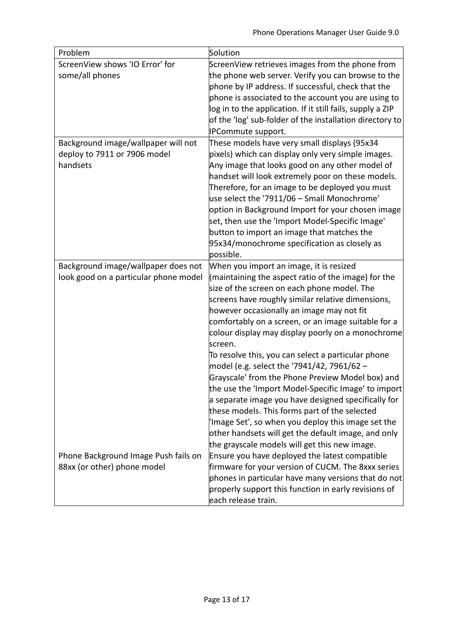| Problem                               | Solution                                                     |
|---------------------------------------|--------------------------------------------------------------|
| ScreenView shows 'IO Error' for       | ScreenView retrieves images from the phone from              |
| some/all phones                       | the phone web server. Verify you can browse to the           |
|                                       | phone by IP address. If successful, check that the           |
|                                       | phone is associated to the account you are using to          |
|                                       | log in to the application. If it still fails, supply a ZIP   |
|                                       | of the 'log' sub-folder of the installation directory to     |
|                                       | IPCommute support.                                           |
| Background image/wallpaper will not   | These models have very small displays (95x34                 |
| deploy to 7911 or 7906 model          | pixels) which can display only very simple images.           |
| handsets                              | Any image that looks good on any other model of              |
|                                       | handset will look extremely poor on these models.            |
|                                       | Therefore, for an image to be deployed you must              |
|                                       | use select the '7911/06 - Small Monochrome'                  |
|                                       | option in Background Import for your chosen image            |
|                                       | set, then use the 'Import Model-Specific Image'              |
|                                       | button to import an image that matches the                   |
|                                       | 95x34/monochrome specification as closely as                 |
|                                       | possible.                                                    |
| Background image/wallpaper does not   | When you import an image, it is resized                      |
| look good on a particular phone model | (maintaining the aspect ratio of the image) for the          |
|                                       | size of the screen on each phone model. The                  |
|                                       | screens have roughly similar relative dimensions,            |
|                                       | however occasionally an image may not fit                    |
|                                       | comfortably on a screen, or an image suitable for a          |
|                                       | colour display may display poorly on a monochrome<br>screen. |
|                                       | To resolve this, you can select a particular phone           |
|                                       | model (e.g. select the '7941/42, 7961/62 -                   |
|                                       | Grayscale' from the Phone Preview Model box) and             |
|                                       | the use the 'Import Model-Specific Image' to import          |
|                                       | a separate image you have designed specifically for          |
|                                       | these models. This forms part of the selected                |
|                                       | 'Image Set', so when you deploy this image set the           |
|                                       | other handsets will get the default image, and only          |
|                                       | the grayscale models will get this new image.                |
| Phone Background Image Push fails on  | Ensure you have deployed the latest compatible               |
| 88xx (or other) phone model           | firmware for your version of CUCM. The 8xxx series           |
|                                       | phones in particular have many versions that do not          |
|                                       | properly support this function in early revisions of         |
|                                       | each release train.                                          |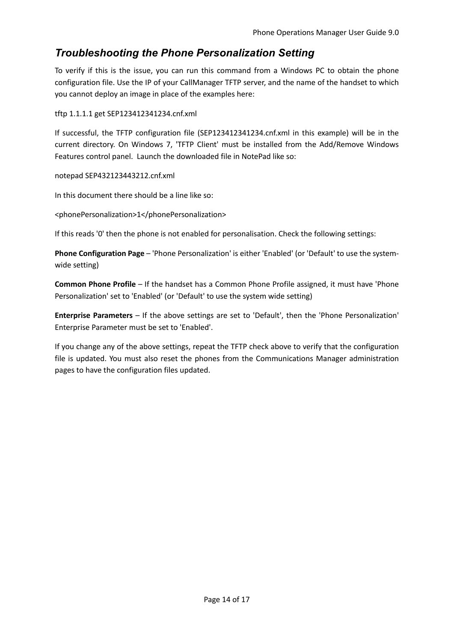## *Troubleshooting the Phone Personalization Setting*

To verify if this is the issue, you can run this command from a Windows PC to obtain the phone configuration file. Use the IP of your CallManager TFTP server, and the name of the handset to which you cannot deploy an image in place of the examples here:

tftp 1.1.1.1 get SEP123412341234.cnf.xml

If successful, the TFTP configuration file (SEP123412341234.cnf.xml in this example) will be in the current directory. On Windows 7, 'TFTP Client' must be installed from the Add/Remove Windows Features control panel. Launch the downloaded file in NotePad like so:

notepad SEP432123443212.cnf.xml

In this document there should be a line like so:

<phonePersonalization>1</phonePersonalization>

If this reads '0' then the phone is not enabled for personalisation. Check the following settings:

**Phone Configuration Page** – 'Phone Personalization' is either 'Enabled' (or 'Default' to use the systemwide setting)

**Common Phone Profile** – If the handset has a Common Phone Profile assigned, it must have 'Phone Personalization' set to 'Enabled' (or 'Default' to use the system wide setting)

**Enterprise Parameters** – If the above settings are set to 'Default', then the 'Phone Personalization' Enterprise Parameter must be set to 'Enabled'.

If you change any of the above settings, repeat the TFTP check above to verify that the configuration file is updated. You must also reset the phones from the Communications Manager administration pages to have the configuration files updated.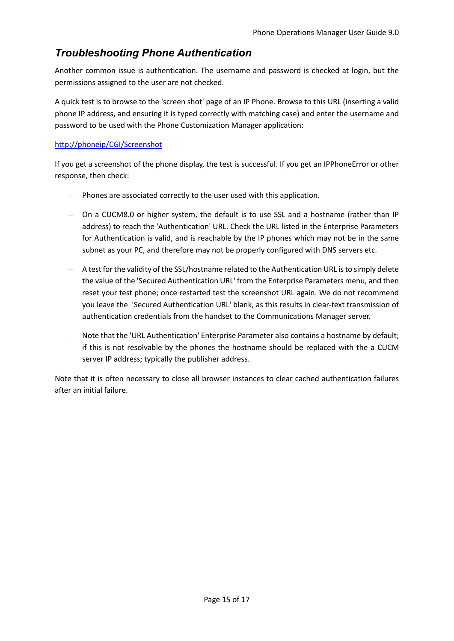## *Troubleshooting Phone Authentication*

Another common issue is authentication. The username and password is checked at login, but the permissions assigned to the user are not checked.

A quick test is to browse to the 'screen shot' page of an IP Phone. Browse to this URL (inserting a valid phone IP address, and ensuring it is typed correctly with matching case) and enter the username and password to be used with the Phone Customization Manager application:

#### http://phoneip/CGI/Screenshot

If you get a screenshot of the phone display, the test is successful. If you get an IPPhoneError or other response, then check:

- Phones are associated correctly to the user used with this application.
- On a CUCM8.0 or higher system, the default is to use SSL and a hostname (rather than IP address) to reach the 'Authentication' URL. Check the URL listed in the Enterprise Parameters for Authentication is valid, and is reachable by the IP phones which may not be in the same subnet as your PC, and therefore may not be properly configured with DNS servers etc.
- A test for the validity of the SSL/hostname related to the Authentication URL is to simply delete the value of the 'Secured Authentication URL' from the Enterprise Parameters menu, and then reset your test phone; once restarted test the screenshot URL again. We do not recommend you leave the 'Secured Authentication URL' blank, as this results in clear-text transmission of authentication credentials from the handset to the Communications Manager server.
- Note that the 'URL Authentication' Enterprise Parameter also contains a hostname by default; if this is not resolvable by the phones the hostname should be replaced with the a CUCM server IP address; typically the publisher address.

Note that it is often necessary to close all browser instances to clear cached authentication failures after an initial failure.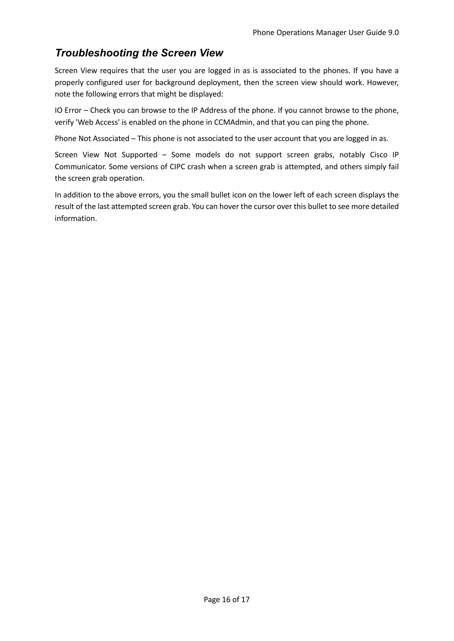## *Troubleshooting the Screen View*

Screen View requires that the user you are logged in as is associated to the phones. If you have a properly configured user for background deployment, then the screen view should work. However, note the following errors that might be displayed:

IO Error – Check you can browse to the IP Address of the phone. If you cannot browse to the phone, verify 'Web Access' is enabled on the phone in CCMAdmin, and that you can ping the phone.

Phone Not Associated – This phone is not associated to the user account that you are logged in as.

Screen View Not Supported – Some models do not support screen grabs, notably Cisco IP Communicator. Some versions of CIPC crash when a screen grab is attempted, and others simply fail the screen grab operation.

In addition to the above errors, you the small bullet icon on the lower left of each screen displays the result of the last attempted screen grab. You can hover the cursor over this bullet to see more detailed information.